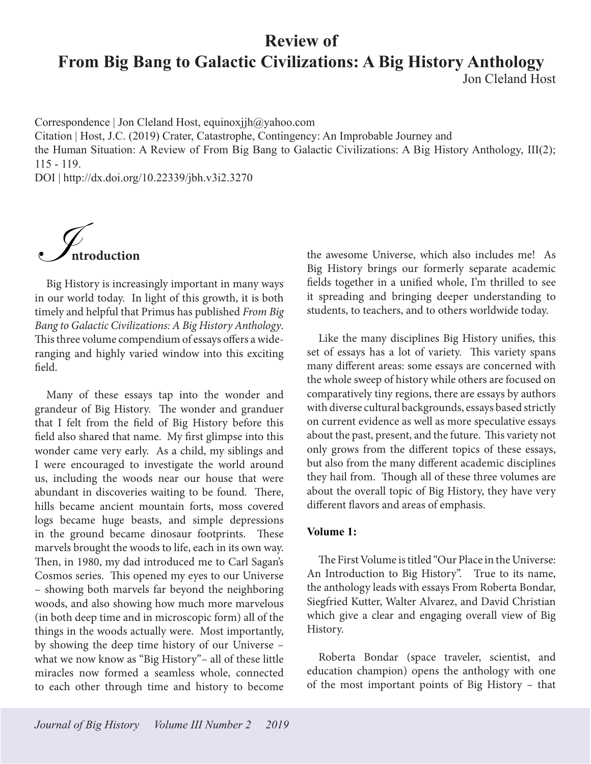# **Review of From Big Bang to Galactic Civilizations: A Big History Anthology** Jon Cleland Host

Correspondence | Jon Cleland Host, equinoxjjh@yahoo.com

Citation | Host, J.C. (2019) Crater, Catastrophe, Contingency: An Improbable Journey and

the Human Situation: A Review of From Big Bang to Galactic Civilizations: A Big History Anthology, III(2); 115 - 119.

DOI | http://dx.doi.org/10.22339/jbh.v3i2.3270



Big History is increasingly important in many ways in our world today. In light of this growth, it is both timely and helpful that Primus has published *From Big Bang to Galactic Civilizations: A Big History Anthology*. This three volume compendium of essays offers a wideranging and highly varied window into this exciting field.

Many of these essays tap into the wonder and grandeur of Big History. The wonder and granduer that I felt from the field of Big History before this field also shared that name. My first glimpse into this wonder came very early. As a child, my siblings and I were encouraged to investigate the world around us, including the woods near our house that were abundant in discoveries waiting to be found. There, hills became ancient mountain forts, moss covered logs became huge beasts, and simple depressions in the ground became dinosaur footprints. These marvels brought the woods to life, each in its own way. Then, in 1980, my dad introduced me to Carl Sagan's Cosmos series. This opened my eyes to our Universe – showing both marvels far beyond the neighboring woods, and also showing how much more marvelous (in both deep time and in microscopic form) all of the things in the woods actually were. Most importantly, by showing the deep time history of our Universe – what we now know as "Big History"– all of these little miracles now formed a seamless whole, connected to each other through time and history to become

the awesome Universe, which also includes me! As Big History brings our formerly separate academic fields together in a unified whole, I'm thrilled to see it spreading and bringing deeper understanding to students, to teachers, and to others worldwide today.

Like the many disciplines Big History unifies, this set of essays has a lot of variety. This variety spans many different areas: some essays are concerned with the whole sweep of history while others are focused on comparatively tiny regions, there are essays by authors with diverse cultural backgrounds, essays based strictly on current evidence as well as more speculative essays about the past, present, and the future. This variety not only grows from the different topics of these essays, but also from the many different academic disciplines they hail from. Though all of these three volumes are about the overall topic of Big History, they have very different flavors and areas of emphasis.

### **Volume 1:**

The First Volume is titled "Our Place in the Universe: An Introduction to Big History". True to its name, the anthology leads with essays From Roberta Bondar, Siegfried Kutter, Walter Alvarez, and David Christian which give a clear and engaging overall view of Big History.

Roberta Bondar (space traveler, scientist, and education champion) opens the anthology with one of the most important points of Big History – that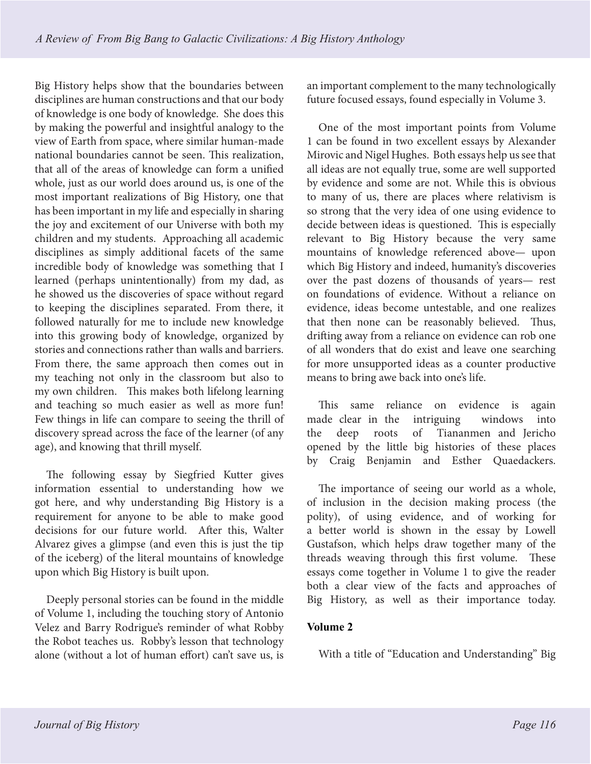Big History helps show that the boundaries between disciplines are human constructions and that our body of knowledge is one body of knowledge. She does this by making the powerful and insightful analogy to the view of Earth from space, where similar human-made national boundaries cannot be seen. This realization, that all of the areas of knowledge can form a unified whole, just as our world does around us, is one of the most important realizations of Big History, one that has been important in my life and especially in sharing the joy and excitement of our Universe with both my children and my students. Approaching all academic disciplines as simply additional facets of the same incredible body of knowledge was something that I learned (perhaps unintentionally) from my dad, as he showed us the discoveries of space without regard to keeping the disciplines separated. From there, it followed naturally for me to include new knowledge into this growing body of knowledge, organized by stories and connections rather than walls and barriers. From there, the same approach then comes out in my teaching not only in the classroom but also to my own children. This makes both lifelong learning and teaching so much easier as well as more fun! Few things in life can compare to seeing the thrill of discovery spread across the face of the learner (of any age), and knowing that thrill myself.

The following essay by Siegfried Kutter gives information essential to understanding how we got here, and why understanding Big History is a requirement for anyone to be able to make good decisions for our future world. After this, Walter Alvarez gives a glimpse (and even this is just the tip of the iceberg) of the literal mountains of knowledge upon which Big History is built upon.

Deeply personal stories can be found in the middle of Volume 1, including the touching story of Antonio Velez and Barry Rodrigue's reminder of what Robby the Robot teaches us. Robby's lesson that technology alone (without a lot of human effort) can't save us, is

an important complement to the many technologically future focused essays, found especially in Volume 3.

One of the most important points from Volume 1 can be found in two excellent essays by Alexander Mirovic and Nigel Hughes. Both essays help us see that all ideas are not equally true, some are well supported by evidence and some are not. While this is obvious to many of us, there are places where relativism is so strong that the very idea of one using evidence to decide between ideas is questioned. This is especially relevant to Big History because the very same mountains of knowledge referenced above— upon which Big History and indeed, humanity's discoveries over the past dozens of thousands of years— rest on foundations of evidence. Without a reliance on evidence, ideas become untestable, and one realizes that then none can be reasonably believed. Thus, drifting away from a reliance on evidence can rob one of all wonders that do exist and leave one searching for more unsupported ideas as a counter productive means to bring awe back into one's life.

This same reliance on evidence is again made clear in the intriguing windows into the deep roots of Tiananmen and Jericho opened by the little big histories of these places by Craig Benjamin and Esther Quaedackers.

The importance of seeing our world as a whole, of inclusion in the decision making process (the polity), of using evidence, and of working for a better world is shown in the essay by Lowell Gustafson, which helps draw together many of the threads weaving through this first volume. These essays come together in Volume 1 to give the reader both a clear view of the facts and approaches of Big History, as well as their importance today.

## **Volume 2**

With a title of "Education and Understanding" Big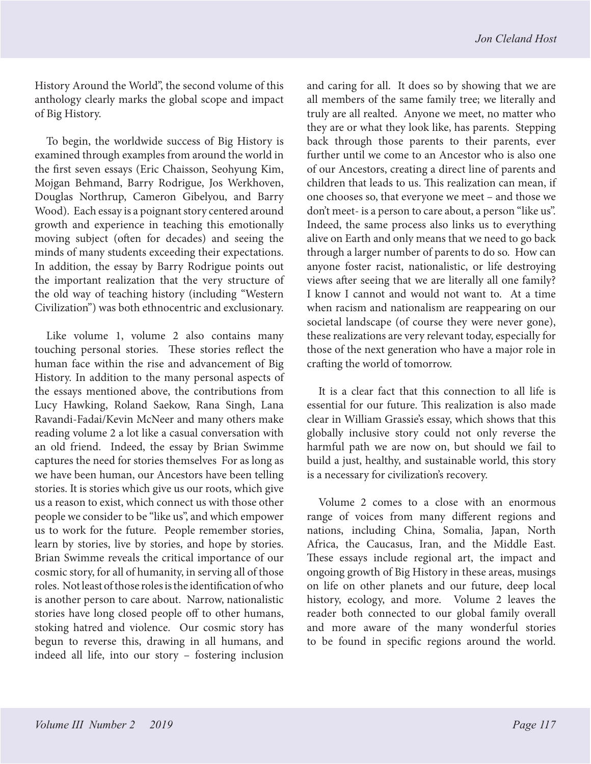History Around the World", the second volume of this anthology clearly marks the global scope and impact of Big History.

To begin, the worldwide success of Big History is examined through examples from around the world in the first seven essays (Eric Chaisson, Seohyung Kim, Mojgan Behmand, Barry Rodrigue, Jos Werkhoven, Douglas Northrup, Cameron Gibelyou, and Barry Wood). Each essay is a poignant story centered around growth and experience in teaching this emotionally moving subject (often for decades) and seeing the minds of many students exceeding their expectations. In addition, the essay by Barry Rodrigue points out the important realization that the very structure of the old way of teaching history (including "Western Civilization") was both ethnocentric and exclusionary.

Like volume 1, volume 2 also contains many touching personal stories. These stories reflect the human face within the rise and advancement of Big History. In addition to the many personal aspects of the essays mentioned above, the contributions from Lucy Hawking, Roland Saekow, Rana Singh, Lana Ravandi-Fadai/Kevin McNeer and many others make reading volume 2 a lot like a casual conversation with an old friend. Indeed, the essay by Brian Swimme captures the need for stories themselves For as long as we have been human, our Ancestors have been telling stories. It is stories which give us our roots, which give us a reason to exist, which connect us with those other people we consider to be "like us", and which empower us to work for the future. People remember stories, learn by stories, live by stories, and hope by stories. Brian Swimme reveals the critical importance of our cosmic story, for all of humanity, in serving all of those roles. Not least of those roles is the identification of who is another person to care about. Narrow, nationalistic stories have long closed people off to other humans, stoking hatred and violence. Our cosmic story has begun to reverse this, drawing in all humans, and indeed all life, into our story – fostering inclusion

and caring for all. It does so by showing that we are all members of the same family tree; we literally and truly are all realted. Anyone we meet, no matter who they are or what they look like, has parents. Stepping back through those parents to their parents, ever further until we come to an Ancestor who is also one of our Ancestors, creating a direct line of parents and children that leads to us. This realization can mean, if one chooses so, that everyone we meet – and those we don't meet- is a person to care about, a person "like us". Indeed, the same process also links us to everything alive on Earth and only means that we need to go back through a larger number of parents to do so. How can anyone foster racist, nationalistic, or life destroying views after seeing that we are literally all one family? I know I cannot and would not want to. At a time when racism and nationalism are reappearing on our societal landscape (of course they were never gone), these realizations are very relevant today, especially for those of the next generation who have a major role in crafting the world of tomorrow.

It is a clear fact that this connection to all life is essential for our future. This realization is also made clear in William Grassie's essay, which shows that this globally inclusive story could not only reverse the harmful path we are now on, but should we fail to build a just, healthy, and sustainable world, this story is a necessary for civilization's recovery.

Volume 2 comes to a close with an enormous range of voices from many different regions and nations, including China, Somalia, Japan, North Africa, the Caucasus, Iran, and the Middle East. These essays include regional art, the impact and ongoing growth of Big History in these areas, musings on life on other planets and our future, deep local history, ecology, and more. Volume 2 leaves the reader both connected to our global family overall and more aware of the many wonderful stories to be found in specific regions around the world.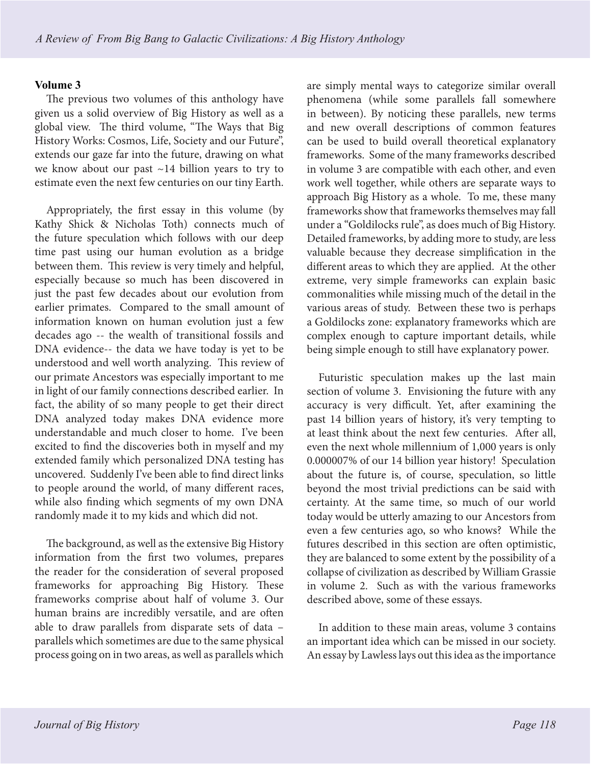## **Volume 3**

The previous two volumes of this anthology have given us a solid overview of Big History as well as a global view. The third volume, "The Ways that Big History Works: Cosmos, Life, Society and our Future", extends our gaze far into the future, drawing on what we know about our past ~14 billion years to try to estimate even the next few centuries on our tiny Earth.

Appropriately, the first essay in this volume (by Kathy Shick & Nicholas Toth) connects much of the future speculation which follows with our deep time past using our human evolution as a bridge between them. This review is very timely and helpful, especially because so much has been discovered in just the past few decades about our evolution from earlier primates. Compared to the small amount of information known on human evolution just a few decades ago -- the wealth of transitional fossils and DNA evidence-- the data we have today is yet to be understood and well worth analyzing. This review of our primate Ancestors was especially important to me in light of our family connections described earlier. In fact, the ability of so many people to get their direct DNA analyzed today makes DNA evidence more understandable and much closer to home. I've been excited to find the discoveries both in myself and my extended family which personalized DNA testing has uncovered. Suddenly I've been able to find direct links to people around the world, of many different races, while also finding which segments of my own DNA randomly made it to my kids and which did not.

The background, as well as the extensive Big History information from the first two volumes, prepares the reader for the consideration of several proposed frameworks for approaching Big History. These frameworks comprise about half of volume 3. Our human brains are incredibly versatile, and are often able to draw parallels from disparate sets of data – parallels which sometimes are due to the same physical process going on in two areas, as well as parallels which

are simply mental ways to categorize similar overall phenomena (while some parallels fall somewhere in between). By noticing these parallels, new terms and new overall descriptions of common features can be used to build overall theoretical explanatory frameworks. Some of the many frameworks described in volume 3 are compatible with each other, and even work well together, while others are separate ways to approach Big History as a whole. To me, these many frameworks show that frameworks themselves may fall under a "Goldilocks rule", as does much of Big History. Detailed frameworks, by adding more to study, are less valuable because they decrease simplification in the different areas to which they are applied. At the other extreme, very simple frameworks can explain basic commonalities while missing much of the detail in the various areas of study. Between these two is perhaps a Goldilocks zone: explanatory frameworks which are complex enough to capture important details, while being simple enough to still have explanatory power.

Futuristic speculation makes up the last main section of volume 3. Envisioning the future with any accuracy is very difficult. Yet, after examining the past 14 billion years of history, it's very tempting to at least think about the next few centuries. After all, even the next whole millennium of 1,000 years is only 0.000007% of our 14 billion year history! Speculation about the future is, of course, speculation, so little beyond the most trivial predictions can be said with certainty. At the same time, so much of our world today would be utterly amazing to our Ancestors from even a few centuries ago, so who knows? While the futures described in this section are often optimistic, they are balanced to some extent by the possibility of a collapse of civilization as described by William Grassie in volume 2. Such as with the various frameworks described above, some of these essays.

In addition to these main areas, volume 3 contains an important idea which can be missed in our society. An essay by Lawless lays out this idea as the importance